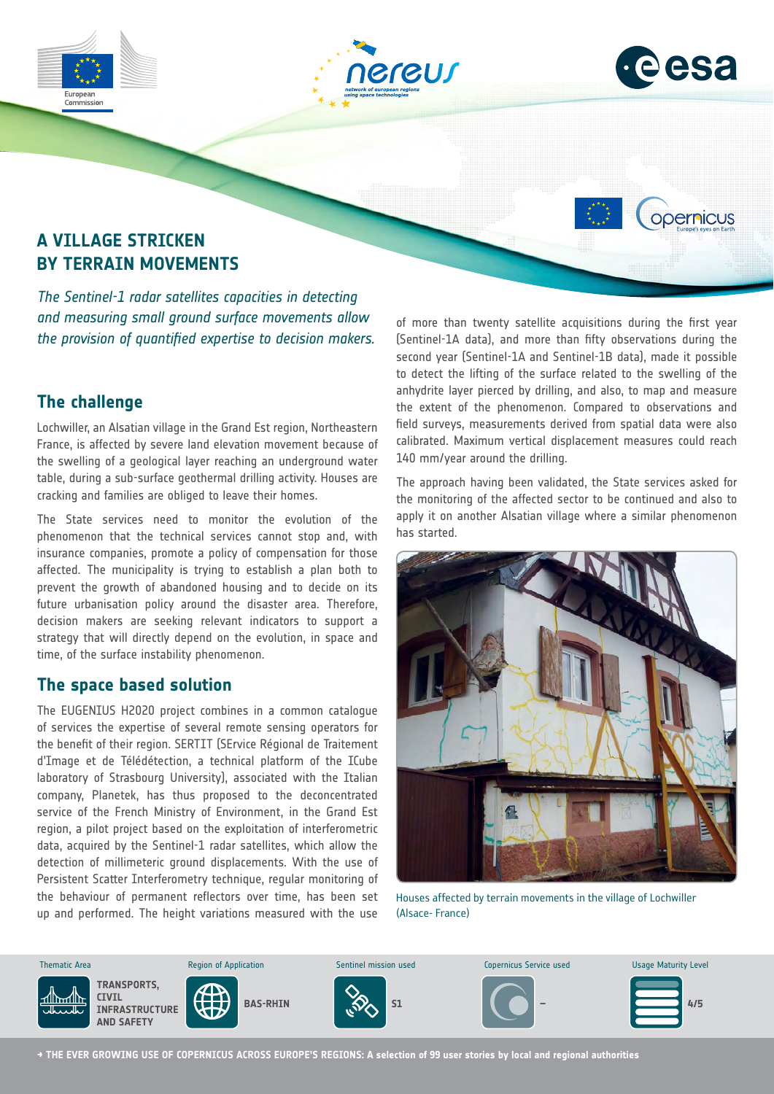



opernicus

# **A VILLAGE STRICKEN BY TERRAIN MOVEMENTS**

*The Sentinel-1 radar satellites capacities in detecting and measuring small ground surface movements allow the provision of quantified expertise to decision makers.*

# **The challenge**

Lochwiller, an Alsatian village in the Grand Est region, Northeastern France, is affected by severe land elevation movement because of the swelling of a geological layer reaching an underground water table, during a sub-surface geothermal drilling activity. Houses are cracking and families are obliged to leave their homes.

The State services need to monitor the evolution of the phenomenon that the technical services cannot stop and, with insurance companies, promote a policy of compensation for those affected. The municipality is trying to establish a plan both to prevent the growth of abandoned housing and to decide on its future urbanisation policy around the disaster area. Therefore, decision makers are seeking relevant indicators to support a strategy that will directly depend on the evolution, in space and time, of the surface instability phenomenon.

### **The space based solution**

The EUGENIUS H2020 project combines in a common catalogue of services the expertise of several remote sensing operators for the benefit of their region. SERTIT (SErvice Régional de Traitement d'Image et de Télédétection, a technical platform of the ICube laboratory of Strasbourg University), associated with the Italian company, Planetek, has thus proposed to the deconcentrated service of the French Ministry of Environment, in the Grand Est region, a pilot project based on the exploitation of interferometric data, acquired by the Sentinel-1 radar satellites, which allow the detection of millimeteric ground displacements. With the use of Persistent Scatter Interferometry technique, regular monitoring of the behaviour of permanent reflectors over time, has been set up and performed. The height variations measured with the use med. The height va ; meas<mark>t</mark> ith the  $\mathfrak t$ 

of more than twenty satellite acquisitions during the first year (Sentinel-1A data), and more than fifty observations during the second year (Sentinel-1A and Sentinel-1B data), made it possible to detect the lifting of the surface related to the swelling of the anhydrite layer pierced by drilling, and also, to map and measure the extent of the phenomenon. Compared to observations and field surveys, measurements derived from spatial data were also calibrated. Maximum vertical displacement measures could reach 140 mm/year around the drilling.

The approach having been validated, the State services asked for the monitoring of the affected sector to be continued and also to apply it on another Alsatian village where a similar phenomenon has started.



(Alsace- France) Houses affected by terrain movements in the village of Lochwiller



**→ THE EVER GROWING USE OF COPERNICUS ACROSS EUROPE'S REGIONS: A selection of 99 user stories by local and regional authorities**